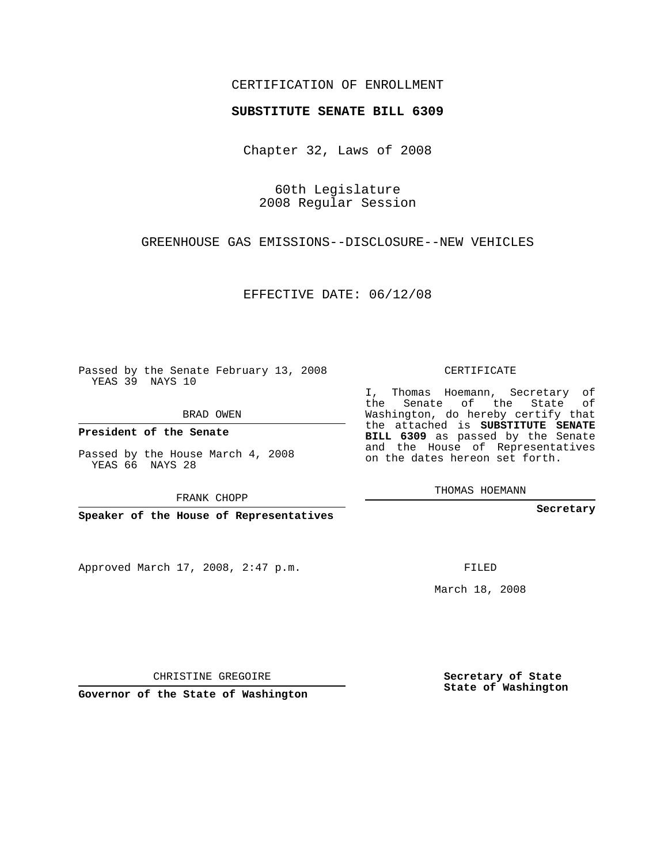## CERTIFICATION OF ENROLLMENT

## **SUBSTITUTE SENATE BILL 6309**

Chapter 32, Laws of 2008

60th Legislature 2008 Regular Session

GREENHOUSE GAS EMISSIONS--DISCLOSURE--NEW VEHICLES

EFFECTIVE DATE: 06/12/08

Passed by the Senate February 13, 2008 YEAS 39 NAYS 10

BRAD OWEN

**President of the Senate**

Passed by the House March 4, 2008 YEAS 66 NAYS 28

FRANK CHOPP

**Speaker of the House of Representatives**

Approved March 17, 2008, 2:47 p.m.

CERTIFICATE

I, Thomas Hoemann, Secretary of the Senate of the State of Washington, do hereby certify that the attached is **SUBSTITUTE SENATE BILL 6309** as passed by the Senate and the House of Representatives on the dates hereon set forth.

THOMAS HOEMANN

**Secretary**

FILED

March 18, 2008

**Secretary of State State of Washington**

CHRISTINE GREGOIRE

**Governor of the State of Washington**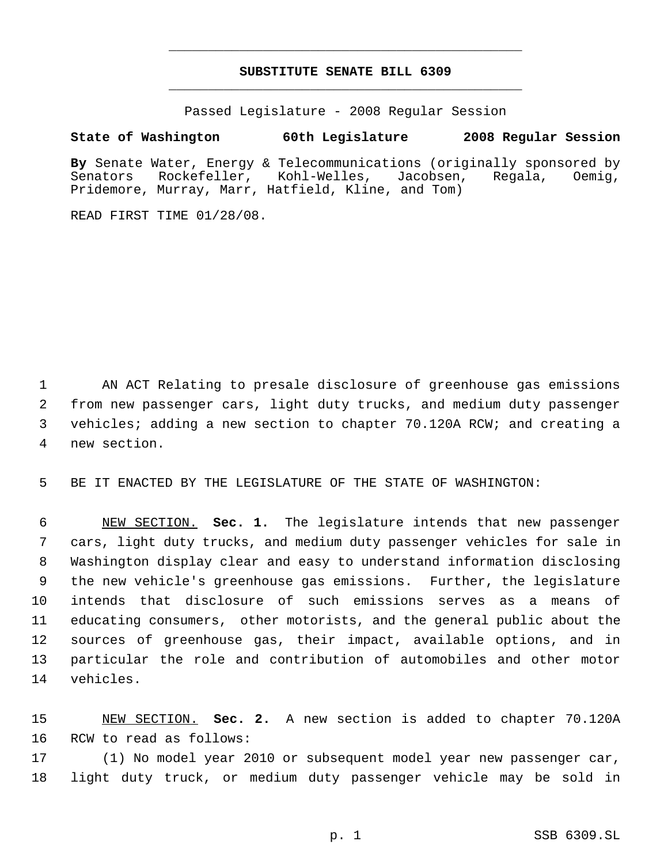## **SUBSTITUTE SENATE BILL 6309** \_\_\_\_\_\_\_\_\_\_\_\_\_\_\_\_\_\_\_\_\_\_\_\_\_\_\_\_\_\_\_\_\_\_\_\_\_\_\_\_\_\_\_\_\_

\_\_\_\_\_\_\_\_\_\_\_\_\_\_\_\_\_\_\_\_\_\_\_\_\_\_\_\_\_\_\_\_\_\_\_\_\_\_\_\_\_\_\_\_\_

Passed Legislature - 2008 Regular Session

**State of Washington 60th Legislature 2008 Regular Session**

**By** Senate Water, Energy & Telecommunications (originally sponsored by Senators Rockefeller, Kohl-Welles, Jacobsen, Regala, Oemig, Pridemore, Murray, Marr, Hatfield, Kline, and Tom)

READ FIRST TIME 01/28/08.

 AN ACT Relating to presale disclosure of greenhouse gas emissions from new passenger cars, light duty trucks, and medium duty passenger vehicles; adding a new section to chapter 70.120A RCW; and creating a new section.

BE IT ENACTED BY THE LEGISLATURE OF THE STATE OF WASHINGTON:

 NEW SECTION. **Sec. 1.** The legislature intends that new passenger cars, light duty trucks, and medium duty passenger vehicles for sale in Washington display clear and easy to understand information disclosing the new vehicle's greenhouse gas emissions. Further, the legislature intends that disclosure of such emissions serves as a means of educating consumers, other motorists, and the general public about the sources of greenhouse gas, their impact, available options, and in particular the role and contribution of automobiles and other motor vehicles.

 NEW SECTION. **Sec. 2.** A new section is added to chapter 70.120A RCW to read as follows:

 (1) No model year 2010 or subsequent model year new passenger car, light duty truck, or medium duty passenger vehicle may be sold in